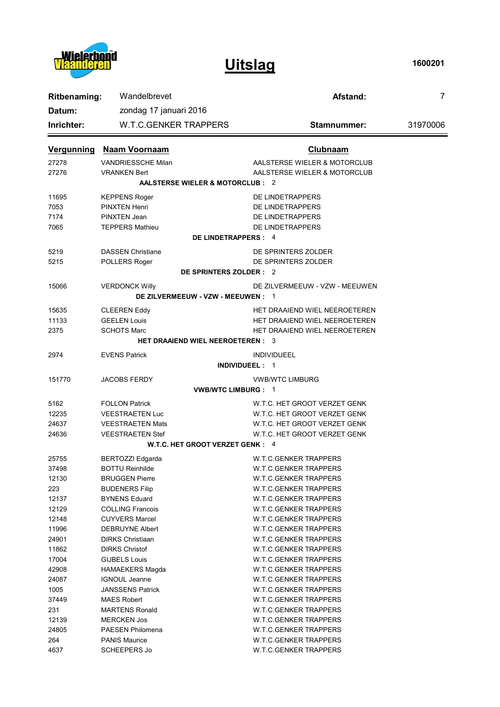

**Uitslag**

**1600201**

| Wandelbrevet<br><b>Ritbenaming:</b> |                                         | Afstand:                       | $\overline{7}$ |  |  |
|-------------------------------------|-----------------------------------------|--------------------------------|----------------|--|--|
| Datum:                              | zondag 17 januari 2016                  |                                |                |  |  |
| Inrichter:                          | <b>W.T.C.GENKER TRAPPERS</b>            | Stamnummer:                    | 31970006       |  |  |
| <b>Vergunning</b>                   | <b>Naam Voornaam</b>                    | <b>Clubnaam</b>                |                |  |  |
| 27278                               | <b>VANDRIESSCHE Milan</b>               | AALSTERSE WIELER & MOTORCLUB   |                |  |  |
| 27276                               | <b>VRANKEN Bert</b>                     | AALSTERSE WIELER & MOTORCLUB   |                |  |  |
|                                     | AALSTERSE WIELER & MOTORCLUB : 2        |                                |                |  |  |
| 11695                               | <b>KEPPENS Roger</b>                    | DE LINDETRAPPERS               |                |  |  |
| 7053                                | PINXTEN Henri                           | DE LINDETRAPPERS               |                |  |  |
| 7174                                | PINXTEN Jean                            | DE LINDETRAPPERS               |                |  |  |
| 7065                                | <b>TEPPERS Mathieu</b>                  | DE LINDETRAPPERS               |                |  |  |
| DE LINDETRAPPERS : 4                |                                         |                                |                |  |  |
| 5219                                | <b>DASSEN Christiane</b>                | DE SPRINTERS ZOLDER            |                |  |  |
| 5215                                | POLLERS Roger                           | DE SPRINTERS ZOLDER            |                |  |  |
| DE SPRINTERS ZOLDER : 2             |                                         |                                |                |  |  |
| 15066                               | <b>VERDONCK Willy</b>                   | DE ZILVERMEEUW - VZW - MEEUWEN |                |  |  |
| DE ZILVERMEEUW - VZW - MEEUWEN : 1  |                                         |                                |                |  |  |
| 15635                               | <b>CLEEREN Eddy</b>                     | HET DRAAIEND WIEL NEEROETEREN  |                |  |  |
| 11133                               | <b>GEELEN Louis</b>                     | HET DRAAIEND WIEL NEEROETEREN  |                |  |  |
| 2375                                | <b>SCHOTS Marc</b>                      | HET DRAAIEND WIEL NEEROETEREN  |                |  |  |
|                                     | <b>HET DRAAIEND WIEL NEEROETEREN: 3</b> |                                |                |  |  |
| 2974                                | <b>EVENS Patrick</b>                    | <b>INDIVIDUEEL</b>             |                |  |  |
|                                     |                                         | <b>INDIVIDUEEL: 1</b>          |                |  |  |
| 151770                              | <b>JACOBS FERDY</b>                     | <b>VWB/WTC LIMBURG</b>         |                |  |  |
|                                     |                                         | <b>VWB/WTC LIMBURG: 1</b>      |                |  |  |
| 5162                                | <b>FOLLON Patrick</b>                   | W.T.C. HET GROOT VERZET GENK   |                |  |  |
| 12235                               | <b>VEESTRAETEN Luc</b>                  | W.T.C. HET GROOT VERZET GENK   |                |  |  |
| 24637                               | <b>VEESTRAETEN Mats</b>                 | W.T.C. HET GROOT VERZET GENK   |                |  |  |
| 24636                               | <b>VEESTRAETEN Stef</b>                 | W.T.C. HET GROOT VERZET GENK   |                |  |  |
| W.T.C. HET GROOT VERZET GENK : 4    |                                         |                                |                |  |  |
| 25755                               | <b>BERTOZZI Edgarda</b>                 | W.T.C.GENKER TRAPPERS          |                |  |  |
| 37498                               | <b>BOTTU Reinhilde</b>                  | <b>W.T.C.GENKER TRAPPERS</b>   |                |  |  |
| 12130                               | <b>BRUGGEN Pierre</b>                   | W.T.C.GENKER TRAPPERS          |                |  |  |
| 223                                 | <b>BUDENERS Filip</b>                   | <b>W.T.C.GENKER TRAPPERS</b>   |                |  |  |
| 12137                               | <b>BYNENS Eduard</b>                    | <b>W.T.C.GENKER TRAPPERS</b>   |                |  |  |
| 12129                               | <b>COLLING Francois</b>                 | <b>W.T.C.GENKER TRAPPERS</b>   |                |  |  |
| 12148                               | <b>CUYVERS Marcel</b>                   | <b>W.T.C.GENKER TRAPPERS</b>   |                |  |  |
| 11996                               | <b>DEBRUYNE Albert</b>                  | W.T.C.GENKER TRAPPERS          |                |  |  |
| 24901                               | <b>DIRKS Christiaan</b>                 | W.T.C.GENKER TRAPPERS          |                |  |  |
| 11862                               | <b>DIRKS Christof</b>                   | W.T.C.GENKER TRAPPERS          |                |  |  |
| 17004                               | <b>GIJBELS Louis</b>                    | W.T.C.GENKER TRAPPERS          |                |  |  |
| 42908                               | <b>HAMAEKERS Magda</b>                  | <b>W.T.C.GENKER TRAPPERS</b>   |                |  |  |
| 24087                               | <b>IGNOUL Jeanne</b>                    | W.T.C.GENKER TRAPPERS          |                |  |  |
| 1005                                | <b>JANSSENS Patrick</b>                 | W.T.C.GENKER TRAPPERS          |                |  |  |
| 37449                               | <b>MAES Robert</b>                      | W.T.C.GENKER TRAPPERS          |                |  |  |
| 231                                 | <b>MARTENS Ronald</b>                   | W.T.C.GENKER TRAPPERS          |                |  |  |
| 12139                               | <b>MERCKEN Jos</b>                      | W.T.C.GENKER TRAPPERS          |                |  |  |
| 24805                               | <b>PAESEN Philomena</b>                 | W.T.C.GENKER TRAPPERS          |                |  |  |
| 264                                 | <b>PANIS Maurice</b>                    | W.T.C.GENKER TRAPPERS          |                |  |  |
| 4637                                | <b>SCHEEPERS Jo</b>                     | W.T.C.GENKER TRAPPERS          |                |  |  |